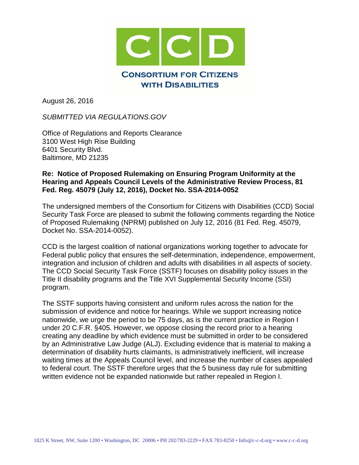

August 26, 2016

*SUBMITTED VIA REGULATIONS.GOV*

Office of Regulations and Reports Clearance 3100 West High Rise Building 6401 Security Blvd. Baltimore, MD 21235

#### **Re: Notice of Proposed Rulemaking on Ensuring Program Uniformity at the Hearing and Appeals Council Levels of the Administrative Review Process, 81 Fed. Reg. 45079 (July 12, 2016), Docket No. SSA-2014-0052**

The undersigned members of the Consortium for Citizens with Disabilities (CCD) Social Security Task Force are pleased to submit the following comments regarding the Notice of Proposed Rulemaking (NPRM) published on July 12, 2016 (81 Fed. Reg. 45079, Docket No. SSA-2014-0052).

CCD is the largest coalition of national organizations working together to advocate for Federal public policy that ensures the self-determination, independence, empowerment, integration and inclusion of children and adults with disabilities in all aspects of society. The CCD Social Security Task Force (SSTF) focuses on disability policy issues in the Title II disability programs and the Title XVI Supplemental Security Income (SSI) program.

The SSTF supports having consistent and uniform rules across the nation for the submission of evidence and notice for hearings. While we support increasing notice nationwide, we urge the period to be 75 days, as is the current practice in Region I under 20 C.F.R. §405. However, we oppose closing the record prior to a hearing creating any deadline by which evidence must be submitted in order to be considered by an Administrative Law Judge (ALJ). Excluding evidence that is material to making a determination of disability hurts claimants, is administratively inefficient, will increase waiting times at the Appeals Council level, and increase the number of cases appealed to federal court. The SSTF therefore urges that the 5 business day rule for submitting written evidence not be expanded nationwide but rather repealed in Region I.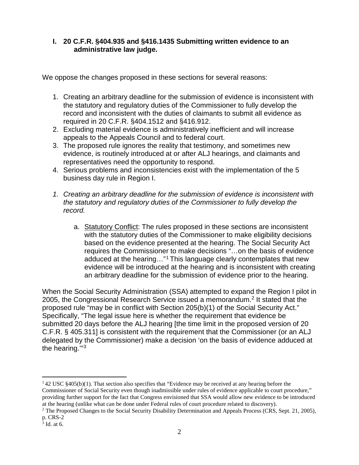#### **I. 20 C.F.R. §404.935 and §416.1435 Submitting written evidence to an administrative law judge.**

We oppose the changes proposed in these sections for several reasons:

- 1. Creating an arbitrary deadline for the submission of evidence is inconsistent with the statutory and regulatory duties of the Commissioner to fully develop the record and inconsistent with the duties of claimants to submit all evidence as required in 20 C.F.R. §404.1512 and §416.912.
- 2. Excluding material evidence is administratively inefficient and will increase appeals to the Appeals Council and to federal court.
- 3. The proposed rule ignores the reality that testimony, and sometimes new evidence, is routinely introduced at or after ALJ hearings, and claimants and representatives need the opportunity to respond.
- 4. Serious problems and inconsistencies exist with the implementation of the 5 business day rule in Region I.
- *1. Creating an arbitrary deadline for the submission of evidence is inconsistent with the statutory and regulatory duties of the Commissioner to fully develop the record.*
	- a. Statutory Conflict: The rules proposed in these sections are inconsistent with the statutory duties of the Commissioner to make eligibility decisions based on the evidence presented at the hearing. The Social Security Act requires the Commissioner to make decisions "…on the basis of evidence adduced at the hearing…"[1](#page-1-0) This language clearly contemplates that new evidence will be introduced at the hearing and is inconsistent with creating an arbitrary deadline for the submission of evidence prior to the hearing.

When the Social Security Administration (SSA) attempted to expand the Region I pilot in [2](#page-1-1)005, the Congressional Research Service issued a memorandum.<sup>2</sup> It stated that the proposed rule "may be in conflict with Section 205(b)(1) of the Social Security Act." Specifically, "The legal issue here is whether the requirement that evidence be submitted 20 days before the ALJ hearing [the time limit in the proposed version of 20 C.F.R. § 405.311] is consistent with the requirement that the Commissioner (or an ALJ delegated by the Commissioner) make a decision 'on the basis of evidence adduced at the hearing.'"[3](#page-1-2)

<span id="page-1-0"></span> $142$  USC §405(b)(1). That section also specifies that "Evidence may be received at any hearing before the Commissioner of Social Security even though inadmissible under rules of evidence applicable to court procedure," providing further support for the fact that Congress envisioned that SSA would allow new evidence to be introduced at the hearing (unlike what can be done under Federal rules of court procedure related to discovery).

<span id="page-1-1"></span><sup>&</sup>lt;sup>2</sup> The Proposed Changes to the Social Security Disability Determination and Appeals Process (CRS, Sept. 21, 2005), p. CRS-2

<span id="page-1-2"></span> $3$  Id. at 6.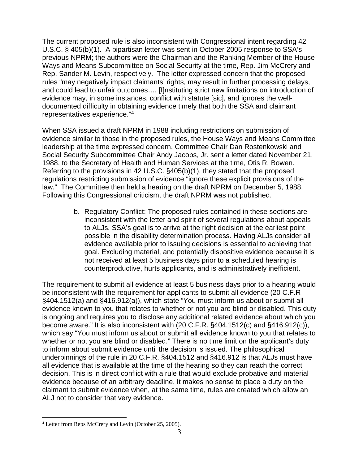The current proposed rule is also inconsistent with Congressional intent regarding 42 U.S.C. § 405(b)(1). A bipartisan letter was sent in October 2005 response to SSA's previous NPRM; the authors were the Chairman and the Ranking Member of the House Ways and Means Subcommittee on Social Security at the time, Rep. Jim McCrery and Rep. Sander M. Levin, respectively. The letter expressed concern that the proposed rules "may negatively impact claimants' rights, may result in further processing delays, and could lead to unfair outcomes…. [I]nstituting strict new limitations on introduction of evidence may, in some instances, conflict with statute [sic], and ignores the welldocumented difficulty in obtaining evidence timely that both the SSA and claimant representatives experience."[4](#page-2-0)

When SSA issued a draft NPRM in 1988 including restrictions on submission of evidence similar to those in the proposed rules, the House Ways and Means Committee leadership at the time expressed concern. Committee Chair Dan Rostenkowski and Social Security Subcommittee Chair Andy Jacobs, Jr. sent a letter dated November 21, 1988, to the Secretary of Health and Human Services at the time, Otis R. Bowen. Referring to the provisions in 42 U.S.C. §405(b)(1), they stated that the proposed regulations restricting submission of evidence "ignore these explicit provisions of the law." The Committee then held a hearing on the draft NPRM on December 5, 1988. Following this Congressional criticism, the draft NPRM was not published.

> b. Regulatory Conflict: The proposed rules contained in these sections are inconsistent with the letter and spirit of several regulations about appeals to ALJs. SSA's goal is to arrive at the right decision at the earliest point possible in the disability determination process. Having ALJs consider all evidence available prior to issuing decisions is essential to achieving that goal. Excluding material, and potentially dispositive evidence because it is not received at least 5 business days prior to a scheduled hearing is counterproductive, hurts applicants, and is administratively inefficient.

The requirement to submit all evidence at least 5 business days prior to a hearing would be inconsistent with the requirement for applicants to submit all evidence (20 C.F.R §404.1512(a) and §416.912(a)), which state "You must inform us about or submit all evidence known to you that relates to whether or not you are blind or disabled. This duty is ongoing and requires you to disclose any additional related evidence about which you become aware." It is also inconsistent with (20 C.F.R. §404.1512(c) and §416.912(c)), which say "You must inform us about or submit all evidence known to you that relates to whether or not you are blind or disabled." There is no time limit on the applicant's duty to inform about submit evidence until the decision is issued. The philosophical underpinnings of the rule in 20 C.F.R. §404.1512 and §416.912 is that ALJs must have all evidence that is available at the time of the hearing so they can reach the correct decision. This is in direct conflict with a rule that would exclude probative and material evidence because of an arbitrary deadline. It makes no sense to place a duty on the claimant to submit evidence when, at the same time, rules are created which allow an ALJ not to consider that very evidence.

<span id="page-2-0"></span> <sup>4</sup> Letter from Reps McCrery and Levin (October 25, 2005).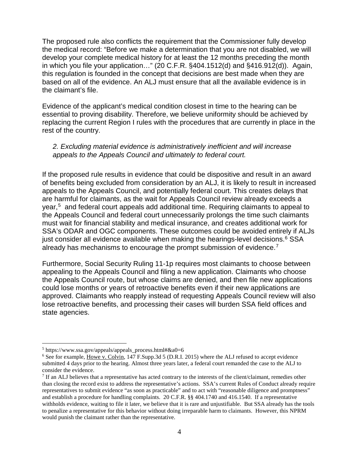The proposed rule also conflicts the requirement that the Commissioner fully develop the medical record: "Before we make a determination that you are not disabled, we will develop your complete medical history for at least the 12 months preceding the month in which you file your application…" (20 C.F.R. §404.1512(d) and §416.912(d)). Again, this regulation is founded in the concept that decisions are best made when they are based on all of the evidence. An ALJ must ensure that all the available evidence is in the claimant's file.

Evidence of the applicant's medical condition closest in time to the hearing can be essential to proving disability. Therefore, we believe uniformity should be achieved by replacing the current Region I rules with the procedures that are currently in place in the rest of the country.

#### *2. Excluding material evidence is administratively inefficient and will increase appeals to the Appeals Council and ultimately to federal court.*

If the proposed rule results in evidence that could be dispositive and result in an award of benefits being excluded from consideration by an ALJ, it is likely to result in increased appeals to the Appeals Council, and potentially federal court. This creates delays that are harmful for claimants, as the wait for Appeals Council review already exceeds a year,[5](#page-3-0) and federal court appeals add additional time. Requiring claimants to appeal to the Appeals Council and federal court unnecessarily prolongs the time such claimants must wait for financial stability and medical insurance, and creates additional work for SSA's ODAR and OGC components. These outcomes could be avoided entirely if ALJs just consider all evidence available when making the hearings-level decisions. $6$  SSA already has mechanisms to encourage the prompt submission of evidence.[7](#page-3-2)

Furthermore, Social Security Ruling 11-1p requires most claimants to choose between appealing to the Appeals Council and filing a new application. Claimants who choose the Appeals Council route, but whose claims are denied, and then file new applications could lose months or years of retroactive benefits even if their new applications are approved. Claimants who reapply instead of requesting Appeals Council review will also lose retroactive benefits, and processing their cases will burden SSA field offices and state agencies.

<span id="page-3-0"></span> $5 \text{ https://www.ssa.gov/appeals/appeals process.html}$ #&a0=6

<span id="page-3-1"></span><sup>6</sup> See for example, Howe v. Colvin, 147 F.Supp.3d 5 (D.R.I. 2015) where the ALJ refused to accept evidence submitted 4 days prior to the hearing. Almost three years later, a federal court remanded the case to the ALJ to consider the evidence.

<span id="page-3-2"></span> $<sup>7</sup>$  If an ALJ believes that a representative has acted contrary to the interests of the client/claimant, remedies other</sup> than closing the record exist to address the representative's actions. SSA's current Rules of Conduct already require representatives to submit evidence "as soon as practicable" and to act with "reasonable diligence and promptness" and establish a procedure for handling complaints. 20 C.F.R. §§ 404.1740 and 416.1540. If a representative withholds evidence, waiting to file it later, we believe that it is rare and unjustifiable. But SSA already has the tools to penalize a representative for this behavior without doing irreparable harm to claimants. However, this NPRM would punish the claimant rather than the representative.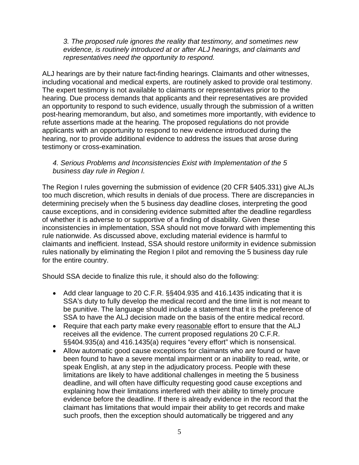*3. The proposed rule ignores the reality that testimony, and sometimes new evidence, is routinely introduced at or after ALJ hearings, and claimants and representatives need the opportunity to respond.*

ALJ hearings are by their nature fact-finding hearings. Claimants and other witnesses, including vocational and medical experts, are routinely asked to provide oral testimony. The expert testimony is not available to claimants or representatives prior to the hearing. Due process demands that applicants and their representatives are provided an opportunity to respond to such evidence, usually through the submission of a written post-hearing memorandum, but also, and sometimes more importantly, with evidence to refute assertions made at the hearing. The proposed regulations do not provide applicants with an opportunity to respond to new evidence introduced during the hearing, nor to provide additional evidence to address the issues that arose during testimony or cross-examination.

#### *4. Serious Problems and Inconsistencies Exist with Implementation of the 5 business day rule in Region I.*

The Region I rules governing the submission of evidence (20 CFR §405.331) give ALJs too much discretion, which results in denials of due process. There are discrepancies in determining precisely when the 5 business day deadline closes, interpreting the good cause exceptions, and in considering evidence submitted after the deadline regardless of whether it is adverse to or supportive of a finding of disability. Given these inconsistencies in implementation, SSA should not move forward with implementing this rule nationwide. As discussed above, excluding material evidence is harmful to claimants and inefficient. Instead, SSA should restore uniformity in evidence submission rules nationally by eliminating the Region I pilot and removing the 5 business day rule for the entire country.

Should SSA decide to finalize this rule, it should also do the following:

- Add clear language to 20 C.F.R. §§404.935 and 416.1435 indicating that it is SSA's duty to fully develop the medical record and the time limit is not meant to be punitive. The language should include a statement that it is the preference of SSA to have the ALJ decision made on the basis of the entire medical record.
- Require that each party make every reasonable effort to ensure that the ALJ receives all the evidence. The current proposed regulations 20 C.F.R. §§404.935(a) and 416.1435(a) requires "every effort" which is nonsensical.
- Allow automatic good cause exceptions for claimants who are found or have been found to have a severe mental impairment or an inability to read, write, or speak English, at any step in the adjudicatory process. People with these limitations are likely to have additional challenges in meeting the 5 business deadline, and will often have difficulty requesting good cause exceptions and explaining how their limitations interfered with their ability to timely procure evidence before the deadline. If there is already evidence in the record that the claimant has limitations that would impair their ability to get records and make such proofs, then the exception should automatically be triggered and any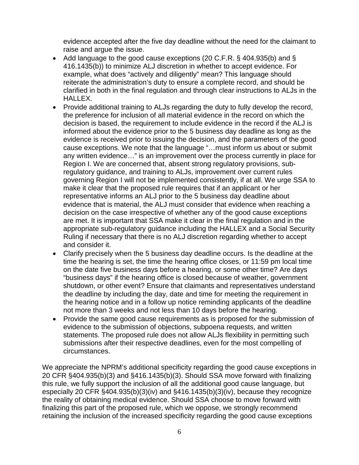evidence accepted after the five day deadline without the need for the claimant to raise and argue the issue.

- Add language to the good cause exceptions (20 C.F.R. § 404.935(b) and § 416.1435(b)) to minimize ALJ discretion in whether to accept evidence. For example, what does "actively and diligently" mean? This language should reiterate the administration's duty to ensure a complete record, and should be clarified in both in the final regulation and through clear instructions to ALJs in the HALLEX.
- Provide additional training to ALJs regarding the duty to fully develop the record, the preference for inclusion of all material evidence in the record on which the decision is based, the requirement to include evidence in the record if the ALJ is informed about the evidence prior to the 5 business day deadline as long as the evidence is received prior to issuing the decision, and the parameters of the good cause exceptions. We note that the language "…must inform us about or submit any written evidence…" is an improvement over the process currently in place for Region I. We are concerned that, absent strong regulatory provisions, subregulatory guidance, and training to ALJs, improvement over current rules governing Region I will not be implemented consistently, if at all. We urge SSA to make it clear that the proposed rule requires that if an applicant or her representative informs an ALJ prior to the 5 business day deadline about evidence that is material, the ALJ must consider that evidence when reaching a decision on the case irrespective of whether any of the good cause exceptions are met. It is important that SSA make it clear in the final regulation and in the appropriate sub-regulatory guidance including the HALLEX and a Social Security Ruling if necessary that there is no ALJ discretion regarding whether to accept and consider it.
- Clarify precisely when the 5 business day deadline occurs. Is the deadline at the time the hearing is set, the time the hearing office closes, or 11:59 pm local time on the date five business days before a hearing, or some other time? Are days "business days" if the hearing office is closed because of weather, government shutdown, or other event? Ensure that claimants and representatives understand the deadline by including the day, date and time for meeting the requirement in the hearing notice and in a follow up notice reminding applicants of the deadline not more than 3 weeks and not less than 10 days before the hearing.
- Provide the same good cause requirements as is proposed for the submission of evidence to the submission of objections, subpoena requests, and written statements. The proposed rule does not allow ALJs flexibility in permitting such submissions after their respective deadlines, even for the most compelling of circumstances.

We appreciate the NPRM's additional specificity regarding the good cause exceptions in 20 CFR §404.935(b)(3) and §416.1435(b)(3). Should SSA move forward with finalizing this rule, we fully support the inclusion of all the additional good cause language, but especially 20 CFR §404.935(b)(3)(iv) and §416.1435(b)(3)(iv), because they recognize the reality of obtaining medical evidence. Should SSA choose to move forward with finalizing this part of the proposed rule, which we oppose, we strongly recommend retaining the inclusion of the increased specificity regarding the good cause exceptions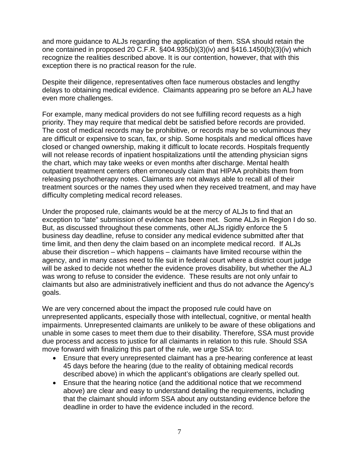and more guidance to ALJs regarding the application of them. SSA should retain the one contained in proposed 20 C.F.R. §404.935(b)(3)(iv) and §416.1450(b)(3)(iv) which recognize the realities described above. It is our contention, however, that with this exception there is no practical reason for the rule.

Despite their diligence, representatives often face numerous obstacles and lengthy delays to obtaining medical evidence. Claimants appearing pro se before an ALJ have even more challenges.

For example, many medical providers do not see fulfilling record requests as a high priority. They may require that medical debt be satisfied before records are provided. The cost of medical records may be prohibitive, or records may be so voluminous they are difficult or expensive to scan, fax, or ship. Some hospitals and medical offices have closed or changed ownership, making it difficult to locate records. Hospitals frequently will not release records of inpatient hospitalizations until the attending physician signs the chart, which may take weeks or even months after discharge. Mental health outpatient treatment centers often erroneously claim that HIPAA prohibits them from releasing psychotherapy notes. Claimants are not always able to recall all of their treatment sources or the names they used when they received treatment, and may have difficulty completing medical record releases.

Under the proposed rule, claimants would be at the mercy of ALJs to find that an exception to "late" submission of evidence has been met. Some ALJs in Region I do so. But, as discussed throughout these comments, other ALJs rigidly enforce the 5 business day deadline, refuse to consider any medical evidence submitted after that time limit, and then deny the claim based on an incomplete medical record. If ALJs abuse their discretion – which happens – claimants have limited recourse within the agency, and in many cases need to file suit in federal court where a district court judge will be asked to decide not whether the evidence proves disability, but whether the ALJ was wrong to refuse to consider the evidence. These results are not only unfair to claimants but also are administratively inefficient and thus do not advance the Agency's goals.

We are very concerned about the impact the proposed rule could have on unrepresented applicants, especially those with intellectual, cognitive, or mental health impairments. Unrepresented claimants are unlikely to be aware of these obligations and unable in some cases to meet them due to their disability. Therefore, SSA must provide due process and access to justice for all claimants in relation to this rule. Should SSA move forward with finalizing this part of the rule, we urge SSA to:

- Ensure that every unrepresented claimant has a pre-hearing conference at least 45 days before the hearing (due to the reality of obtaining medical records described above) in which the applicant's obligations are clearly spelled out.
- Ensure that the hearing notice (and the additional notice that we recommend above) are clear and easy to understand detailing the requirements, including that the claimant should inform SSA about any outstanding evidence before the deadline in order to have the evidence included in the record.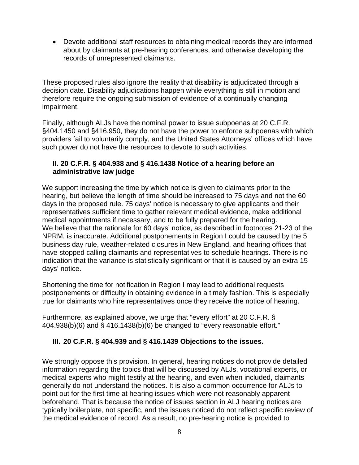• Devote additional staff resources to obtaining medical records they are informed about by claimants at pre-hearing conferences, and otherwise developing the records of unrepresented claimants.

These proposed rules also ignore the reality that disability is adjudicated through a decision date. Disability adjudications happen while everything is still in motion and therefore require the ongoing submission of evidence of a continually changing impairment.

Finally, although ALJs have the nominal power to issue subpoenas at 20 C.F.R. §404.1450 and §416.950, they do not have the power to enforce subpoenas with which providers fail to voluntarily comply, and the United States Attorneys' offices which have such power do not have the resources to devote to such activities.

### **II. 20 C.F.R. § 404.938 and § 416.1438 Notice of a hearing before an administrative law judge**

We support increasing the time by which notice is given to claimants prior to the hearing, but believe the length of time should be increased to 75 days and not the 60 days in the proposed rule. 75 days' notice is necessary to give applicants and their representatives sufficient time to gather relevant medical evidence, make additional medical appointments if necessary, and to be fully prepared for the hearing. We believe that the rationale for 60 days' notice, as described in footnotes 21-23 of the NPRM, is inaccurate. Additional postponements in Region I could be caused by the 5 business day rule, weather-related closures in New England, and hearing offices that have stopped calling claimants and representatives to schedule hearings. There is no indication that the variance is statistically significant or that it is caused by an extra 15 days' notice.

Shortening the time for notification in Region I may lead to additional requests postponements or difficulty in obtaining evidence in a timely fashion. This is especially true for claimants who hire representatives once they receive the notice of hearing.

Furthermore, as explained above, we urge that "every effort" at 20 C.F.R. § 404.938(b)(6) and § 416.1438(b)(6) be changed to "every reasonable effort."

# **III. 20 C.F.R. § 404.939 and § 416.1439 Objections to the issues.**

We strongly oppose this provision. In general, hearing notices do not provide detailed information regarding the topics that will be discussed by ALJs, vocational experts, or medical experts who might testify at the hearing, and even when included, claimants generally do not understand the notices. It is also a common occurrence for ALJs to point out for the first time at hearing issues which were not reasonably apparent beforehand. That is because the notice of issues section in ALJ hearing notices are typically boilerplate, not specific, and the issues noticed do not reflect specific review of the medical evidence of record. As a result, no pre-hearing notice is provided to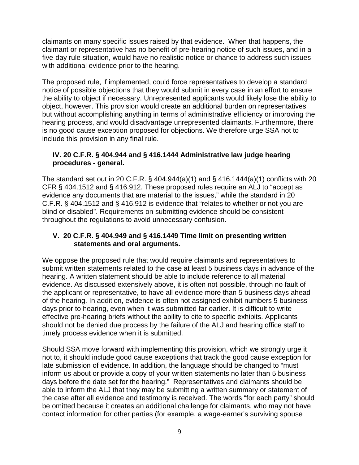claimants on many specific issues raised by that evidence. When that happens, the claimant or representative has no benefit of pre-hearing notice of such issues, and in a five-day rule situation, would have no realistic notice or chance to address such issues with additional evidence prior to the hearing.

The proposed rule, if implemented, could force representatives to develop a standard notice of possible objections that they would submit in every case in an effort to ensure the ability to object if necessary. Unrepresented applicants would likely lose the ability to object, however. This provision would create an additional burden on representatives but without accomplishing anything in terms of administrative efficiency or improving the hearing process, and would disadvantage unrepresented claimants. Furthermore, there is no good cause exception proposed for objections. We therefore urge SSA not to include this provision in any final rule.

### **IV. 20 C.F.R. § 404.944 and § 416.1444 Administrative law judge hearing procedures - general.**

The standard set out in 20 C.F.R. § 404.944(a)(1) and § 416.1444(a)(1) conflicts with 20 CFR § 404.1512 and § 416.912. These proposed rules require an ALJ to "accept as evidence any documents that are material to the issues," while the standard in 20 C.F.R. § 404.1512 and § 416.912 is evidence that "relates to whether or not you are blind or disabled". Requirements on submitting evidence should be consistent throughout the regulations to avoid unnecessary confusion.

### **V. 20 C.F.R. § 404.949 and § 416.1449 Time limit on presenting written statements and oral arguments.**

We oppose the proposed rule that would require claimants and representatives to submit written statements related to the case at least 5 business days in advance of the hearing. A written statement should be able to include reference to all material evidence. As discussed extensively above, it is often not possible, through no fault of the applicant or representative, to have all evidence more than 5 business days ahead of the hearing. In addition, evidence is often not assigned exhibit numbers 5 business days prior to hearing, even when it was submitted far earlier. It is difficult to write effective pre-hearing briefs without the ability to cite to specific exhibits. Applicants should not be denied due process by the failure of the ALJ and hearing office staff to timely process evidence when it is submitted.

Should SSA move forward with implementing this provision, which we strongly urge it not to, it should include good cause exceptions that track the good cause exception for late submission of evidence. In addition, the language should be changed to "must inform us about or provide a copy of your written statements no later than 5 business days before the date set for the hearing." Representatives and claimants should be able to inform the ALJ that they may be submitting a written summary or statement of the case after all evidence and testimony is received. The words "for each party" should be omitted because it creates an additional challenge for claimants, who may not have contact information for other parties (for example, a wage-earner's surviving spouse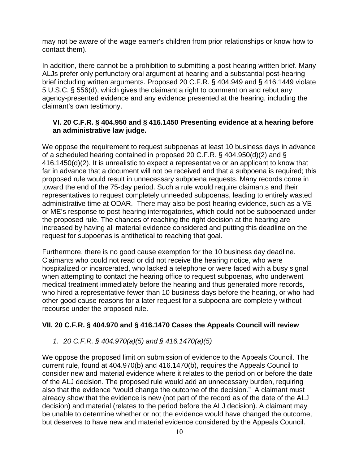may not be aware of the wage earner's children from prior relationships or know how to contact them).

In addition, there cannot be a prohibition to submitting a post-hearing written brief. Many ALJs prefer only perfunctory oral argument at hearing and a substantial post-hearing brief including written arguments. Proposed 20 C.F.R. § 404.949 and § 416.1449 violate 5 U.S.C. § 556(d), which gives the claimant a right to comment on and rebut any agency-presented evidence and any evidence presented at the hearing, including the claimant's own testimony.

### **VI. 20 C.F.R. § 404.950 and § 416.1450 Presenting evidence at a hearing before an administrative law judge.**

We oppose the requirement to request subpoenas at least 10 business days in advance of a scheduled hearing contained in proposed 20 C.F.R. § 404.950(d)(2) and § 416.1450(d)(2). It is unrealistic to expect a representative or an applicant to know that far in advance that a document will not be received and that a subpoena is required; this proposed rule would result in unnecessary subpoena requests. Many records come in toward the end of the 75-day period. Such a rule would require claimants and their representatives to request completely unneeded subpoenas, leading to entirely wasted administrative time at ODAR. There may also be post-hearing evidence, such as a VE or ME's response to post-hearing interrogatories, which could not be subpoenaed under the proposed rule. The chances of reaching the right decision at the hearing are increased by having all material evidence considered and putting this deadline on the request for subpoenas is antithetical to reaching that goal.

Furthermore, there is no good cause exemption for the 10 business day deadline. Claimants who could not read or did not receive the hearing notice, who were hospitalized or incarcerated, who lacked a telephone or were faced with a busy signal when attempting to contact the hearing office to request subpoenas, who underwent medical treatment immediately before the hearing and thus generated more records, who hired a representative fewer than 10 business days before the hearing, or who had other good cause reasons for a later request for a subpoena are completely without recourse under the proposed rule.

# **VII. 20 C.F.R. § 404.970 and § 416.1470 Cases the Appeals Council will review**

*1. 20 C.F.R. § 404.970(a)(5) and § 416.1470(a)(5)*

We oppose the proposed limit on submission of evidence to the Appeals Council. The current rule, found at 404.970(b) and 416.1470(b), requires the Appeals Council to consider new and material evidence where it relates to the period on or before the date of the ALJ decision. The proposed rule would add an unnecessary burden, requiring also that the evidence "would change the outcome of the decision." A claimant must already show that the evidence is new (not part of the record as of the date of the ALJ decision) and material (relates to the period before the ALJ decision). A claimant may be unable to determine whether or not the evidence would have changed the outcome, but deserves to have new and material evidence considered by the Appeals Council.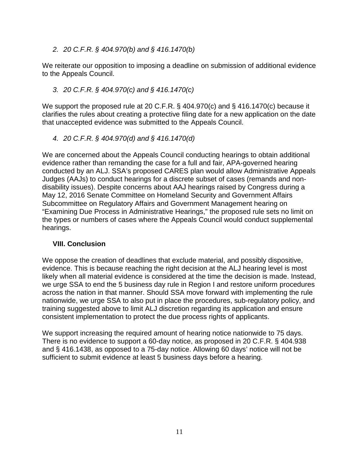*2. 20 C.F.R. § 404.970(b) and § 416.1470(b)*

We reiterate our opposition to imposing a deadline on submission of additional evidence to the Appeals Council.

# *3. 20 C.F.R. § 404.970(c) and § 416.1470(c)*

We support the proposed rule at 20 C.F.R. § 404.970(c) and § 416.1470(c) because it clarifies the rules about creating a protective filing date for a new application on the date that unaccepted evidence was submitted to the Appeals Council.

*4. 20 C.F.R. § 404.970(d) and § 416.1470(d)*

We are concerned about the Appeals Council conducting hearings to obtain additional evidence rather than remanding the case for a full and fair, APA-governed hearing conducted by an ALJ. SSA's proposed CARES plan would allow Administrative Appeals Judges (AAJs) to conduct hearings for a discrete subset of cases (remands and nondisability issues). Despite concerns about AAJ hearings raised by Congress during a May 12, 2016 Senate Committee on Homeland Security and Government Affairs Subcommittee on Regulatory Affairs and Government Management hearing on "Examining Due Process in Administrative Hearings," the proposed rule sets no limit on the types or numbers of cases where the Appeals Council would conduct supplemental hearings.

# **VIII. Conclusion**

We oppose the creation of deadlines that exclude material, and possibly dispositive, evidence. This is because reaching the right decision at the ALJ hearing level is most likely when all material evidence is considered at the time the decision is made. Instead, we urge SSA to end the 5 business day rule in Region I and restore uniform procedures across the nation in that manner. Should SSA move forward with implementing the rule nationwide, we urge SSA to also put in place the procedures, sub-regulatory policy, and training suggested above to limit ALJ discretion regarding its application and ensure consistent implementation to protect the due process rights of applicants.

We support increasing the required amount of hearing notice nationwide to 75 days. There is no evidence to support a 60-day notice, as proposed in 20 C.F.R. § 404.938 and § 416.1438, as opposed to a 75-day notice. Allowing 60 days' notice will not be sufficient to submit evidence at least 5 business days before a hearing.